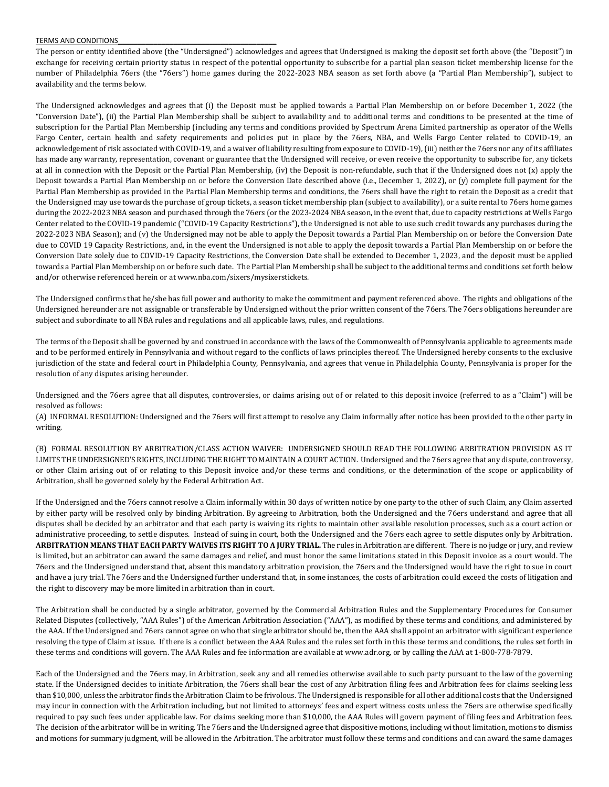## TERMS AND CONDITIONS\_\_\_\_\_\_\_\_\_\_\_\_\_\_\_\_\_\_\_\_\_\_\_\_\_\_\_\_\_\_\_\_\_\_\_\_\_\_\_\_

The person or entity identified above (the "Undersigned") acknowledges and agrees that Undersigned is making the deposit set forth above (the "Deposit") in exchange for receiving certain priority status in respect of the potential opportunity to subscribe for a partial plan season ticket membership license for the number of Philadelphia 76ers (the "76ers") home games during the 2022-2023 NBA season as set forth above (a "Partial Plan Membership"), subject to availability and the terms below.

The Undersigned acknowledges and agrees that (i) the Deposit must be applied towards a Partial Plan Membership on or before December 1, 2022 (the "Conversion Date"), (ii) the Partial Plan Membership shall be subject to availability and to additional terms and conditions to be presented at the time of subscription for the Partial Plan Membership (including any terms and conditions provided by Spectrum Arena Limited partnership as operator of the Wells Fargo Center, certain health and safety requirements and policies put in place by the 76ers, NBA, and Wells Fargo Center related to COVID-19, an acknowledgement of risk associated with COVID-19, and a waiver of liability resulting from exposure to COVID-19), (iii) neither the 76ers nor any of its affiliates has made any warranty, representation, covenant or guarantee that the Undersigned will receive, or even receive the opportunity to subscribe for, any tickets at all in connection with the Deposit or the Partial Plan Membership, (iv) the Deposit is non-refundable, such that if the Undersigned does not (x) apply the Deposit towards a Partial Plan Membership on or before the Conversion Date described above (i.e., December 1, 2022), or (y) complete full payment for the Partial Plan Membership as provided in the Partial Plan Membership terms and conditions, the 76ers shall have the right to retain the Deposit as a credit that the Undersigned may use towards the purchase of group tickets, a season ticket membership plan (subject to availability), or a suite rental to 76ers home games during the 2022-2023 NBA season and purchased through the 76ers (or the 2023-2024 NBA season, in the event that, due to capacity restrictions at Wells Fargo Center related to the COVID-19 pandemic ("COVID-19 Capacity Restrictions"), the Undersigned is not able to use such credit towards any purchases during the 2022-2023 NBA Season); and (v) the Undersigned may not be able to apply the Deposit towards a Partial Plan Membership on or before the Conversion Date due to COVID 19 Capacity Restrictions, and, in the event the Undersigned is not able to apply the deposit towards a Partial Plan Membership on or before the Conversion Date solely due to COVID-19 Capacity Restrictions, the Conversion Date shall be extended to December 1, 2023, and the deposit must be applied towards a Partial Plan Membership on or before such date. The Partial Plan Membership shall be subject to the additional terms and conditions set forth below and/or otherwise referenced herein or at www.nba.com/sixers/mysixerstickets.

The Undersigned confirms that he/she has full power and authority to make the commitment and payment referenced above. The rights and obligations of the Undersigned hereunder are not assignable or transferable by Undersigned without the prior written consent of the 76ers. The 76ers obligations hereunder are subject and subordinate to all NBA rules and regulations and all applicable laws, rules, and regulations.

The terms of the Deposit shall be governed by and construed in accordance with the laws of the Commonwealth of Pennsylvania applicable to agreements made and to be performed entirely in Pennsylvania and without regard to the conflicts of laws principles thereof. The Undersigned hereby consents to the exclusive jurisdiction of the state and federal court in Philadelphia County, Pennsylvania, and agrees that venue in Philadelphia County, Pennsylvania is proper for the resolution of any disputes arising hereunder.

Undersigned and the 76ers agree that all disputes, controversies, or claims arising out of or related to this deposit invoice (referred to as a "Claim") will be resolved as follows:

(A) INFORMAL RESOLUTION: Undersigned and the 76ers will first attempt to resolve any Claim informally after notice has been provided to the other party in writing.

(B) FORMAL RESOLUTION BY ARBITRATION/CLASS ACTION WAIVER: UNDERSIGNED SHOULD READ THE FOLLOWING ARBITRATION PROVISION AS IT LIMITS THE UNDERSIGNED'S RIGHTS, INCLUDING THE RIGHT TO MAINTAIN A COURT ACTION. Undersigned and the 76ers agree that any dispute, controversy, or other Claim arising out of or relating to this Deposit invoice and/or these terms and conditions, or the determination of the scope or applicability of Arbitration, shall be governed solely by the Federal Arbitration Act.

If the Undersigned and the 76ers cannot resolve a Claim informally within 30 days of written notice by one party to the other of such Claim, any Claim asserted by either party will be resolved only by binding Arbitration. By agreeing to Arbitration, both the Undersigned and the 76ers understand and agree that all disputes shall be decided by an arbitrator and that each party is waiving its rights to maintain other available resolution processes, such as a court action or administrative proceeding, to settle disputes. Instead of suing in court, both the Undersigned and the 76ers each agree to settle disputes only by Arbitration. **ARBITRATION MEANS THAT EACH PARTY WAIVES ITS RIGHT TO A JURY TRIAL.** The rules in Arbitration are different. There is no judge or jury, and review is limited, but an arbitrator can award the same damages and relief, and must honor the same limitations stated in this Deposit invoice as a court would. The 76ers and the Undersigned understand that, absent this mandatory arbitration provision, the 76ers and the Undersigned would have the right to sue in court and have a jury trial. The 76ers and the Undersigned further understand that, in some instances, the costs of arbitration could exceed the costs of litigation and the right to discovery may be more limited in arbitration than in court.

The Arbitration shall be conducted by a single arbitrator, governed by the Commercial Arbitration Rules and the Supplementary Procedures for Consumer Related Disputes (collectively, "AAA Rules") of the American Arbitration Association ("AAA"), as modified by these terms and conditions, and administered by the AAA. If the Undersigned and 76ers cannot agree on who that single arbitrator should be, then the AAA shall appoint an arbitrator with significant experience resolving the type of Claim at issue. If there is a conflict between the AAA Rules and the rules set forth in this these terms and conditions, the rules set forth in these terms and conditions will govern. The AAA Rules and fee information are available at www.adr.org, or by calling the AAA at 1-800-778-7879.

Each of the Undersigned and the 76ers may, in Arbitration, seek any and all remedies otherwise available to such party pursuant to the law of the governing state. If the Undersigned decides to initiate Arbitration, the 76ers shall bear the cost of any Arbitration filing fees and Arbitration fees for claims seeking less than \$10,000, unless the arbitrator finds the Arbitration Claim to be frivolous. The Undersigned is responsible for all other additional costs that the Undersigned may incur in connection with the Arbitration including, but not limited to attorneys' fees and expert witness costs unless the 76ers are otherwise specifically required to pay such fees under applicable law. For claims seeking more than \$10,000, the AAA Rules will govern payment of filing fees and Arbitration fees. The decision of the arbitrator will be in writing. The 76ers and the Undersigned agree that dispositive motions, including without limitation, motions to dismiss and motions for summary judgment, will be allowed in the Arbitration. The arbitrator must follow these terms and conditions and can award the same damages